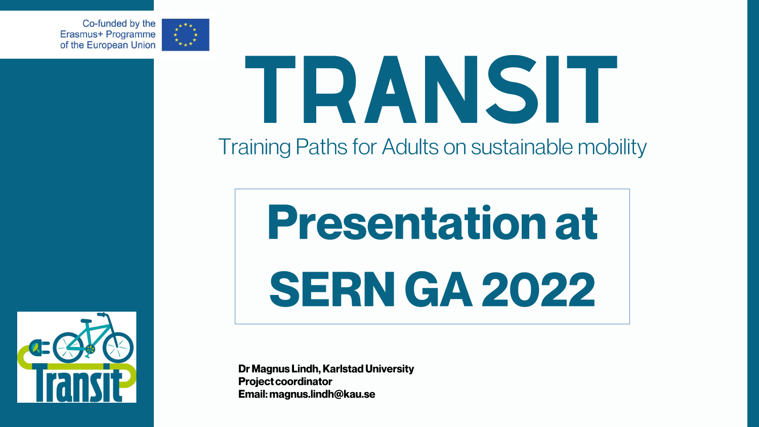Co-funded by the Erasmus+ Programme of the European Union

## TRANSIT **Training Paths for Adults on sustainable mobility**

# **Presentation at** SERN GA 2022

**Dr Magnus Lindh, Karlstad University Project coordinator** Email: magnus.lindh@kau.se





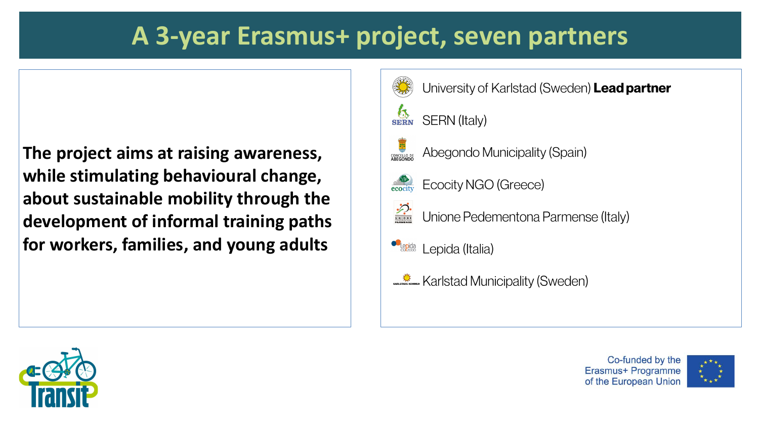### A 3-year Erasmus+ project, seven partners

The project aims at raising awareness, while stimulating behavioural change, about sustainable mobility through the development of informal training paths for workers, families, and young adults





- University of Karlstad (Sweden) Lead partner
	-
- Abegondo Municipality (Spain)
- **Ecocity NGO (Greece)**
- Unione Pedementona Parmense (Italy)
	-
- Karlstad Municipality (Sweden)

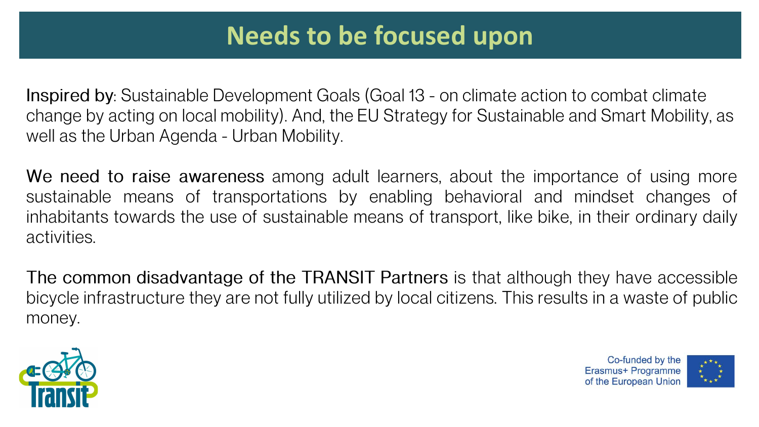**Inspired by:** Sustainable Development Goals (Goal 13 - on climate action to combat climate change by acting on local mobility). And, the EU Strategy for Sustainable and Smart Mobility, as well as the Urban Agenda - Urban Mobility.

We need to raise awareness among adult learners, about the importance of using more sustainable means of transportations by enabling behavioral and mindset changes of inhabitants towards the use of sustainable means of transport, like bike, in their ordinary daily activities.

The common disadvantage of the TRANSIT Partners is that although they have accessible bicycle infrastructure they are not fully utilized by local citizens. This results in a waste of public money.



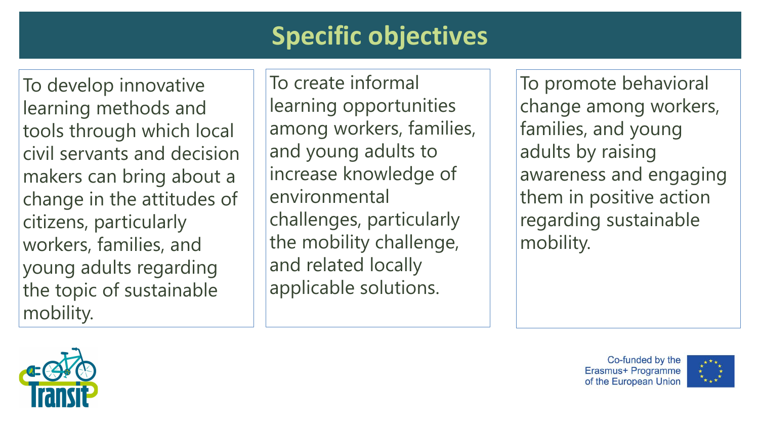## **Specific objectives**

To develop innovative learning methods and tools through which local civil servants and decision makers can bring about a change in the attitudes of citizens, particularly workers, families, and young adults regarding the topic of sustainable mobility.

To create informal learning opportunities among workers, families, and young adults to increase knowledge of environmental challenges, particularly the mobility challenge, and related locally applicable solutions.





To promote behavioral change among workers, families, and young adults by raising awareness and engaging them in positive action regarding sustainable mobility.

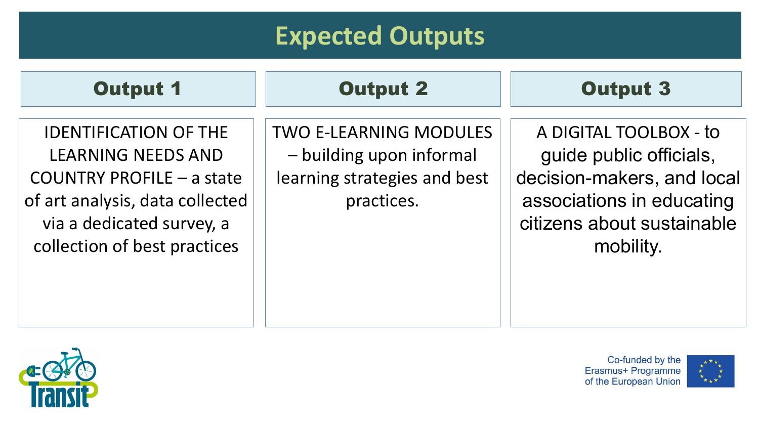### **Expected Outputs**

IDENTIFICATION OF THE LEARNING NEEDS AND COUNTRY PROFILE – a state of art analysis, data collected via a dedicated survey, a collection of best practices

### Output 1 Output 2 Output 3

TWO E-LEARNING MODULES – building upon informal learning strategies and best practices.





A DIGITAL TOOLBOX - to guide public officials, decision-makers, and local associations in educating citizens about sustainable mobility.

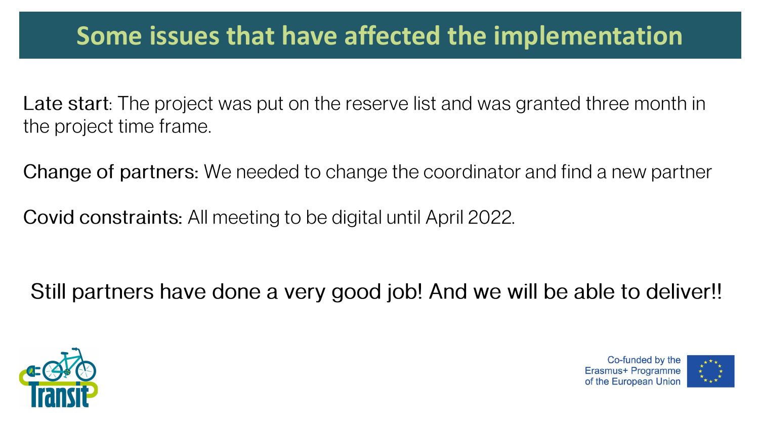### Some issues that have affected the implementation

Late start: The project was put on the reserve list and was granted three month in the project time frame.

**Change of partners:** We needed to change the coordinator and find a new partner

Covid constraints: All meeting to be digital until April 2022.

Still partners have done a very good job! And we will be able to deliver!!



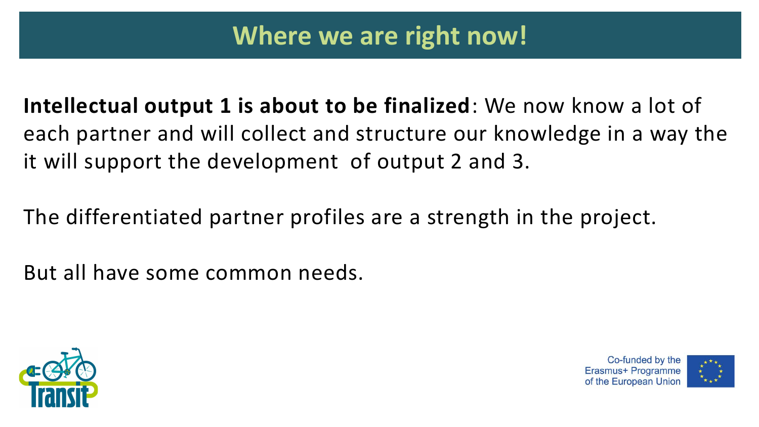**Intellectual output 1 is about to be finalized**: We now know a lot of each partner and will collect and structure our knowledge in a way the it will support the development of output 2 and 3.

The differentiated partner profiles are a strength in the project.

But all have some common needs.





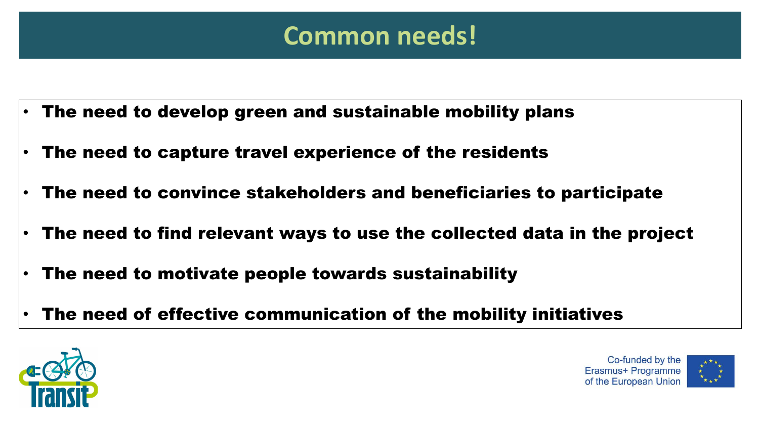- The need to develop green and sustainable mobility plans
- The need to capture travel experience of the residents
- The need to convince stakeholders and beneficiaries to participate
- The need to find relevant ways to use the collected data in the project
- The need to motivate people towards sustainability
- The need of effective communication of the mobility initiatives